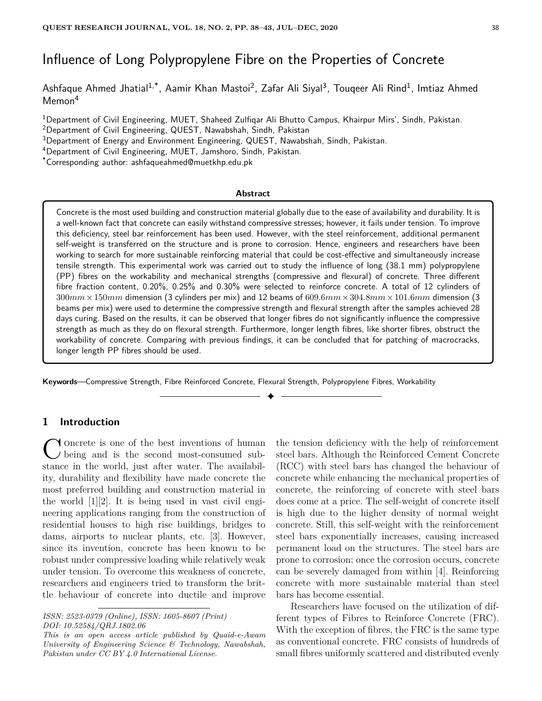# Influence of Long Polypropylene Fibre on the Properties of Concrete

Ashfaque Ahmed Jhatial<sup>1,\*</sup>, Aamir Khan Mastoi<sup>2</sup>, Zafar Ali Siyal<sup>3</sup>, Touqeer Ali Rind<sup>1</sup>, Imtiaz Ahmed Memon<sup>4</sup>

<sup>1</sup>Department of Civil Engineering, MUET, Shaheed Zulfiqar Ali Bhutto Campus, Khairpur Mirs', Sindh, Pakistan.

<sup>2</sup>Department of Civil Engineering, QUEST, Nawabshah, Sindh, Pakistan

<sup>3</sup>Department of Energy and Environment Engineering, QUEST, Nawabshah, Sindh, Pakistan.

<sup>4</sup>Department of Civil Engineering, MUET, Jamshoro, Sindh, Pakistan.

\*Corresponding author: ashfaqueahmed@muetkhp.edu.pk

#### **Abstract**

Concrete is the most used building and construction material globally due to the ease of availability and durability. It is a well-known fact that concrete can easily withstand compressive stresses; however, it fails under tension. To improve this deficiency, steel bar reinforcement has been used. However, with the steel reinforcement, additional permanent self-weight is transferred on the structure and is prone to corrosion. Hence, engineers and researchers have been working to search for more sustainable reinforcing material that could be cost-effective and simultaneously increase tensile strength. This experimental work was carried out to study the influence of long (38.1 mm) polypropylene (PP) fibres on the workability and mechanical strengths (compressive and flexural) of concrete. Three different fibre fraction content, 0.20%, 0.25% and 0.30% were selected to reinforce concrete. A total of 12 cylinders of 300*mm*×150*mm* dimension (3 cylinders per mix) and 12 beams of 609*.*6*mm*×304*.*8*mm*×101*.*6*mm* dimension (3 beams per mix) were used to determine the compressive strength and flexural strength after the samples achieved 28 days curing. Based on the results, it can be observed that longer fibres do not significantly influence the compressive strength as much as they do on flexural strength. Furthermore, longer length fibres, like shorter fibres, obstruct the workability of concrete. Comparing with previous findings, it can be concluded that for patching of macrocracks, longer length PP fibres should be used.

✦

**Keywords**—Compressive Strength, Fibre Reinforced Concrete, Flexural Strength, Polypropylene Fibres, Workability

# **1 Introduction**

C oncrete is one of the best inventions of human<br>being and is the second most-consumed sub-<br>stance in the world, just after water. The availabiloncrete is one of the best inventions of human being and is the second most-consumed subity, durability and flexibility have made concrete the most preferred building and construction material in the world [1][2]. It is being used in vast civil engineering applications ranging from the construction of residential houses to high rise buildings, bridges to dams, airports to nuclear plants, etc. [3]. However, since its invention, concrete has been known to be robust under compressive loading while relatively weak under tension. To overcome this weakness of concrete, researchers and engineers tried to transform the brittle behaviour of concrete into ductile and improve

the tension deficiency with the help of reinforcement steel bars. Although the Reinforced Cement Concrete (RCC) with steel bars has changed the behaviour of concrete while enhancing the mechanical properties of concrete, the reinforcing of concrete with steel bars does come at a price. The self-weight of concrete itself is high due to the higher density of normal weight concrete. Still, this self-weight with the reinforcement steel bars exponentially increases, causing increased permanent load on the structures. The steel bars are prone to corrosion; once the corrosion occurs, concrete can be severely damaged from within [4]. Reinforcing concrete with more sustainable material than steel bars has become essential.

Researchers have focused on the utilization of different types of Fibres to Reinforce Concrete (FRC). With the exception of fibres, the FRC is the same type as conventional concrete. FRC consists of hundreds of small fibres uniformly scattered and distributed evenly

*ISSN: 2523-0379 (Online), ISSN: 1605-8607 (Print) DOI: 10.52584/QRJ.1802.06*

*This is an open access article published by Quaid-e-Awam University of Engineering Science & Technology, Nawabshah, Pakistan under CC BY 4.0 International License.*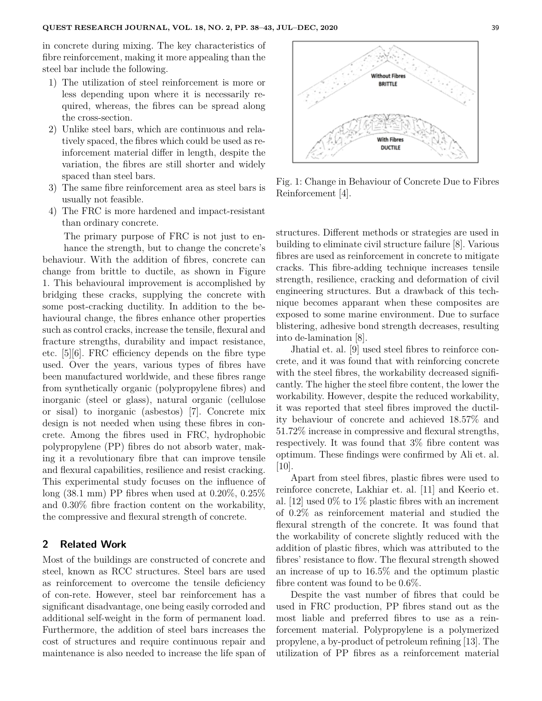in concrete during mixing. The key characteristics of fibre reinforcement, making it more appealing than the steel bar include the following.

- 1) The utilization of steel reinforcement is more or less depending upon where it is necessarily required, whereas, the fibres can be spread along the cross-section.
- 2) Unlike steel bars, which are continuous and relatively spaced, the fibres which could be used as reinforcement material differ in length, despite the variation, the fibres are still shorter and widely spaced than steel bars.
- 3) The same fibre reinforcement area as steel bars is usually not feasible.
- 4) The FRC is more hardened and impact-resistant than ordinary concrete.

The primary purpose of FRC is not just to enhance the strength, but to change the concrete's behaviour. With the addition of fibres, concrete can change from brittle to ductile, as shown in Figure 1. This behavioural improvement is accomplished by bridging these cracks, supplying the concrete with some post-cracking ductility. In addition to the behavioural change, the fibres enhance other properties such as control cracks, increase the tensile, flexural and fracture strengths, durability and impact resistance, etc. [5][6]. FRC efficiency depends on the fibre type used. Over the years, various types of fibres have been manufactured worldwide, and these fibres range from synthetically organic (polypropylene fibres) and inorganic (steel or glass), natural organic (cellulose or sisal) to inorganic (asbestos) [7]. Concrete mix design is not needed when using these fibres in concrete. Among the fibres used in FRC, hydrophobic polypropylene (PP) fibres do not absorb water, making it a revolutionary fibre that can improve tensile and flexural capabilities, resilience and resist cracking. This experimental study focuses on the influence of long (38.1 mm) PP fibres when used at 0.20%, 0.25% and 0.30% fibre fraction content on the workability, the compressive and flexural strength of concrete.

# **2 Related Work**

Most of the buildings are constructed of concrete and steel, known as RCC structures. Steel bars are used as reinforcement to overcome the tensile deficiency of con-rete. However, steel bar reinforcement has a significant disadvantage, one being easily corroded and additional self-weight in the form of permanent load. Furthermore, the addition of steel bars increases the cost of structures and require continuous repair and maintenance is also needed to increase the life span of



Fig. 1: Change in Behaviour of Concrete Due to Fibres Reinforcement [4].

structures. Different methods or strategies are used in building to eliminate civil structure failure [8]. Various fibres are used as reinforcement in concrete to mitigate cracks. This fibre-adding technique increases tensile strength, resilience, cracking and deformation of civil engineering structures. But a drawback of this technique becomes apparant when these composites are exposed to some marine environment. Due to surface blistering, adhesive bond strength decreases, resulting into de-lamination [8].

Jhatial et. al. [9] used steel fibres to reinforce concrete, and it was found that with reinforcing concrete with the steel fibres, the workability decreased significantly. The higher the steel fibre content, the lower the workability. However, despite the reduced workability, it was reported that steel fibres improved the ductility behaviour of concrete and achieved 18.57% and 51.72% increase in compressive and flexural strengths, respectively. It was found that 3% fibre content was optimum. These findings were confirmed by Ali et. al. [10].

Apart from steel fibres, plastic fibres were used to reinforce concrete, Lakhiar et. al. [11] and Keerio et. al. [12] used 0% to 1% plastic fibres with an increment of 0.2% as reinforcement material and studied the flexural strength of the concrete. It was found that the workability of concrete slightly reduced with the addition of plastic fibres, which was attributed to the fibres' resistance to flow. The flexural strength showed an increase of up to 16.5% and the optimum plastic fibre content was found to be 0.6%.

Despite the vast number of fibres that could be used in FRC production, PP fibres stand out as the most liable and preferred fibres to use as a reinforcement material. Polypropylene is a polymerized propylene, a by-product of petroleum refining [13]. The utilization of PP fibres as a reinforcement material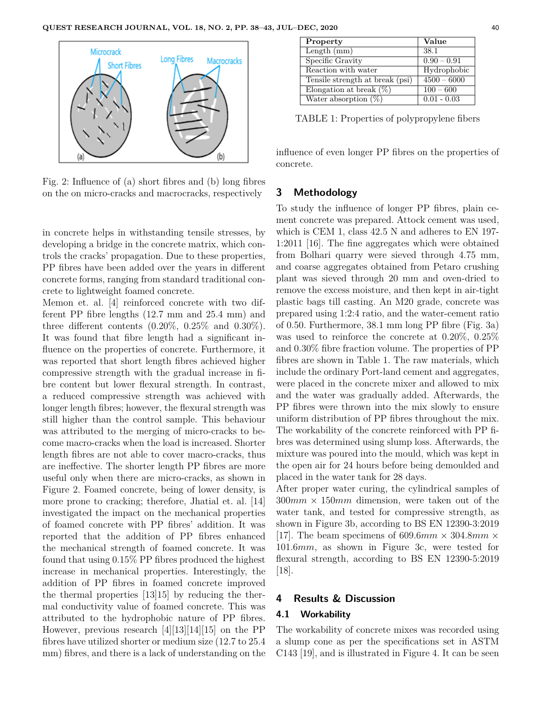

Fig. 2: Influence of (a) short fibres and (b) long fibres on the on micro-cracks and macrocracks, respectively

in concrete helps in withstanding tensile stresses, by developing a bridge in the concrete matrix, which controls the cracks' propagation. Due to these properties, PP fibres have been added over the years in different concrete forms, ranging from standard traditional concrete to lightweight foamed concrete.

Memon et. al. [4] reinforced concrete with two different PP fibre lengths (12.7 mm and 25.4 mm) and three different contents  $(0.20\%, 0.25\% \text{ and } 0.30\%).$ It was found that fibre length had a significant influence on the properties of concrete. Furthermore, it was reported that short length fibres achieved higher compressive strength with the gradual increase in fibre content but lower flexural strength. In contrast, a reduced compressive strength was achieved with longer length fibres; however, the flexural strength was still higher than the control sample. This behaviour was attributed to the merging of micro-cracks to become macro-cracks when the load is increased. Shorter length fibres are not able to cover macro-cracks, thus are ineffective. The shorter length PP fibres are more useful only when there are micro-cracks, as shown in Figure 2. Foamed concrete, being of lower density, is more prone to cracking; therefore, Jhatial et. al. [14] investigated the impact on the mechanical properties of foamed concrete with PP fibres' addition. It was reported that the addition of PP fibres enhanced the mechanical strength of foamed concrete. It was found that using 0.15% PP fibres produced the highest increase in mechanical properties. Interestingly, the addition of PP fibres in foamed concrete improved the thermal properties [13]15] by reducing the thermal conductivity value of foamed concrete. This was attributed to the hydrophobic nature of PP fibres. However, previous research [4][13][14][15] on the PP fibres have utilized shorter or medium size (12.7 to 25.4 mm) fibres, and there is a lack of understanding on the

| Property                        | Value         |
|---------------------------------|---------------|
| Length $(mm)$                   | 38.1          |
| Specific Gravity                | $0.90 - 0.91$ |
| Reaction with water             | Hydrophobic   |
| Tensile strength at break (psi) | $4500 - 6000$ |
| Elongation at break $(\%)$      | $100 - 600$   |
| Water absorption $(\%)$         | $0.01 - 0.03$ |

TABLE 1: Properties of polypropylene fibers

influence of even longer PP fibres on the properties of concrete.

# **3 Methodology**

To study the influence of longer PP fibres, plain cement concrete was prepared. Attock cement was used, which is CEM 1, class 42.5 N and adheres to EN 197- 1:2011 [16]. The fine aggregates which were obtained from Bolhari quarry were sieved through 4.75 mm, and coarse aggregates obtained from Petaro crushing plant was sieved through 20 mm and oven-dried to remove the excess moisture, and then kept in air-tight plastic bags till casting. An M20 grade, concrete was prepared using 1:2:4 ratio, and the water-cement ratio of 0.50. Furthermore, 38.1 mm long PP fibre (Fig. 3a) was used to reinforce the concrete at 0.20%, 0.25% and 0.30% fibre fraction volume. The properties of PP fibres are shown in Table 1. The raw materials, which include the ordinary Port-land cement and aggregates, were placed in the concrete mixer and allowed to mix and the water was gradually added. Afterwards, the PP fibres were thrown into the mix slowly to ensure uniform distribution of PP fibres throughout the mix. The workability of the concrete reinforced with PP fibres was determined using slump loss. Afterwards, the mixture was poured into the mould, which was kept in the open air for 24 hours before being demoulded and placed in the water tank for 28 days.

After proper water curing, the cylindrical samples of  $300mm \times 150mm$  dimension, were taken out of the water tank, and tested for compressive strength, as shown in Figure 3b, according to BS EN 12390-3:2019 [17]. The beam specimens of 609.6 $mm \times 304.8mm \times$ 101*.*6*mm*, as shown in Figure 3c, were tested for flexural strength, according to BS EN 12390-5:2019  $|18|$ .

# **4 Results & Discussion**

## **4.1 Workability**

The workability of concrete mixes was recorded using a slump cone as per the specifications set in ASTM C143 [19], and is illustrated in Figure 4. It can be seen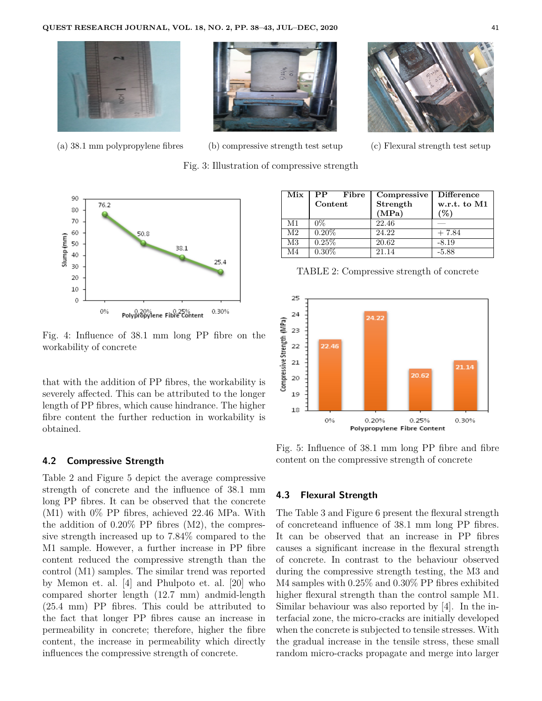

(a) 38.1 mm polypropylene fibres (b) compressive strength test setup (c) Flexural strength test setup

Fig. 3: Illustration of compressive strength





Fig. 4: Influence of 38.1 mm long PP fibre on the workability of concrete

that with the addition of PP fibres, the workability is severely affected. This can be attributed to the longer length of PP fibres, which cause hindrance. The higher fibre content the further reduction in workability is obtained.

#### **4.2 Compressive Strength**

Table 2 and Figure 5 depict the average compressive strength of concrete and the influence of 38.1 mm long PP fibres. It can be observed that the concrete (M1) with 0% PP fibres, achieved 22.46 MPa. With the addition of 0.20% PP fibres (M2), the compressive strength increased up to 7.84% compared to the M1 sample. However, a further increase in PP fibre content reduced the compressive strength than the control (M1) samples. The similar trend was reported by Memon et. al. [4] and Phulpoto et. al. [20] who compared shorter length (12.7 mm) andmid-length (25.4 mm) PP fibres. This could be attributed to the fact that longer PP fibres cause an increase in permeability in concrete; therefore, higher the fibre content, the increase in permeability which directly influences the compressive strength of concrete.

| Mix            | ${\bf PP}$<br>Fibre | Compressive | <b>Difference</b> |
|----------------|---------------------|-------------|-------------------|
|                | Content             | Strength    | w.r.t. to M1      |
|                |                     | (MPa)       | $(\%)$            |
| M1             | $0\%$               | 22.46       |                   |
| M <sub>2</sub> | $0.20\%$            | 24.22       | $+7.84$           |
| M3             | 0.25%               | 20.62       | $-8.19$           |
| M4             | $0.30\%$            | 21.14       | $-5.88$           |

TABLE 2: Compressive strength of concrete



Fig. 5: Influence of 38.1 mm long PP fibre and fibre content on the compressive strength of concrete

## **4.3 Flexural Strength**

The Table 3 and Figure 6 present the flexural strength of concreteand influence of 38.1 mm long PP fibres. It can be observed that an increase in PP fibres causes a significant increase in the flexural strength of concrete. In contrast to the behaviour observed during the compressive strength testing, the M3 and M4 samples with 0.25% and 0.30% PP fibres exhibited higher flexural strength than the control sample M1. Similar behaviour was also reported by [4]. In the interfacial zone, the micro-cracks are initially developed when the concrete is subjected to tensile stresses. With the gradual increase in the tensile stress, these small random micro-cracks propagate and merge into larger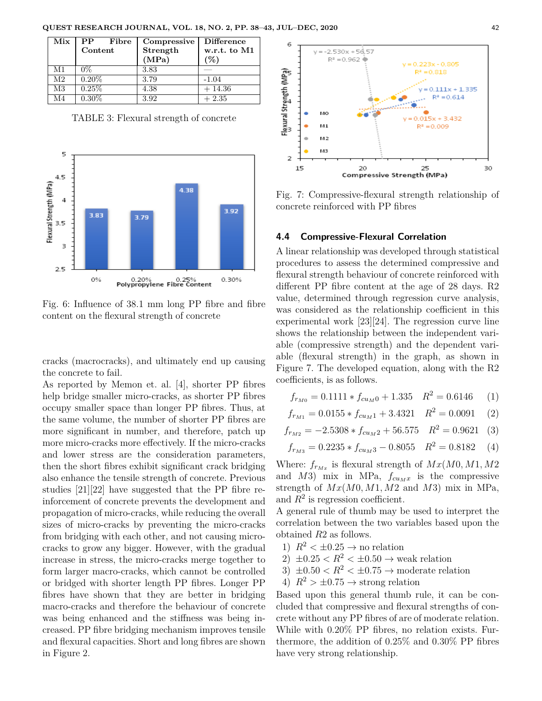| Mix            | Fibre<br>$\bf PP$ | Compressive | <b>Difference</b> |
|----------------|-------------------|-------------|-------------------|
|                | Content           | Strength    | w.r.t. to M1      |
|                |                   | (MPa)       | $\mathcal{C}$     |
| M1             | $0\%$             | 3.83        |                   |
| M <sub>2</sub> | $0.20\%$          | 3.79        | $-1.04$           |
| M3             | $0.25\%$          | 4.38        | $+14.36$          |
| M4             | $0.30\%$          | 3.92        | $+2.35$           |

TABLE 3: Flexural strength of concrete



Fig. 6: Influence of 38.1 mm long PP fibre and fibre content on the flexural strength of concrete

cracks (macrocracks), and ultimately end up causing the concrete to fail.

As reported by Memon et. al. [4], shorter PP fibres help bridge smaller micro-cracks, as shorter PP fibres occupy smaller space than longer PP fibres. Thus, at the same volume, the number of shorter PP fibres are more significant in number, and therefore, patch up more micro-cracks more effectively. If the micro-cracks and lower stress are the consideration parameters, then the short fibres exhibit significant crack bridging also enhance the tensile strength of concrete. Previous studies [21][22] have suggested that the PP fibre reinforcement of concrete prevents the development and propagation of micro-cracks, while reducing the overall sizes of micro-cracks by preventing the micro-cracks from bridging with each other, and not causing microcracks to grow any bigger. However, with the gradual increase in stress, the micro-cracks merge together to form larger macro-cracks, which cannot be controlled or bridged with shorter length PP fibres. Longer PP fibres have shown that they are better in bridging macro-cracks and therefore the behaviour of concrete was being enhanced and the stiffness was being increased. PP fibre bridging mechanism improves tensile and flexural capacities. Short and long fibres are shown in Figure 2.



Fig. 7: Compressive-flexural strength relationship of concrete reinforced with PP fibres

## **4.4 Compressive-Flexural Correlation**

A linear relationship was developed through statistical procedures to assess the determined compressive and flexural strength behaviour of concrete reinforced with different PP fibre content at the age of 28 days. R2 value, determined through regression curve analysis, was considered as the relationship coefficient in this experimental work [23][24]. The regression curve line shows the relationship between the independent variable (compressive strength) and the dependent variable (flexural strength) in the graph, as shown in Figure 7. The developed equation, along with the R2 coefficients, is as follows.

$$
f_{r_{M0}} = 0.1111 * f_{cu_M0} + 1.335 \quad R^2 = 0.6146 \quad (1)
$$

$$
f_{r_{M1}} = 0.0155 \ast f_{cu_M 1} + 3.4321 \quad R^2 = 0.0091 \quad (2)
$$

$$
f_{r_{M2}} = -2.5308 \times f_{cu_M2} + 56.575 \quad R^2 = 0.9621 \tag{3}
$$

$$
f_{r_{M3}} = 0.2235 * f_{cu_M3} - 0.8055 \quad R^2 = 0.8182 \quad (4)
$$

Where:  $f_{r_{Mx}}$  is flexural strength of  $Mx(M0, M1, M2)$ and  $M3$ ) mix in MPa,  $f_{cu_Mx}$  is the compressive strength of *Mx*(*M*0*, M*1*, M*2 and *M*3) mix in MPa, and  $R^2$  is regression coefficient.

A general rule of thumb may be used to interpret the correlation between the two variables based upon the obtained *R*2 as follows.

- 1)  $R^2 < \pm 0.25 \rightarrow$  no relation
- 2)  $\pm 0.25 < R^2 < \pm 0.50 \rightarrow$  weak relation
- 3)  $\pm 0.50 < R^2 < \pm 0.75 \rightarrow$  moderate relation
- 4)  $R^2 > \pm 0.75 \rightarrow$  strong relation

Based upon this general thumb rule, it can be concluded that compressive and flexural strengths of concrete without any PP fibres of are of moderate relation. While with 0.20% PP fibres, no relation exists. Furthermore, the addition of 0.25% and 0.30% PP fibres have very strong relationship.